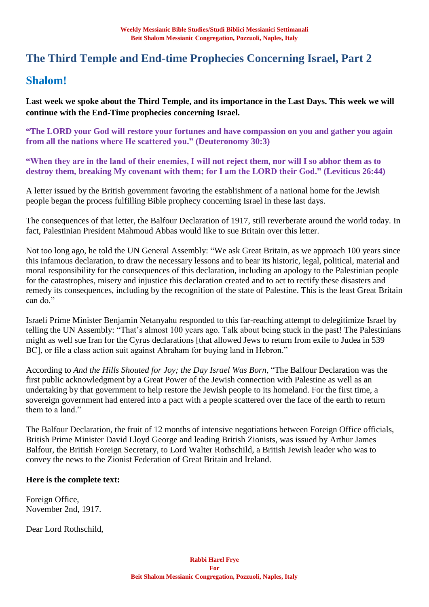# **The Third Temple and End-time Prophecies Concerning Israel, Part 2**

# **Shalom!**

**Last week we spoke about the Third Temple, and its importance in the Last Days. This week we will continue with the End-Time prophecies concerning Israel.**

**"The LORD your God will restore your fortunes and have compassion on you and gather you again from all the nations where He scattered you." (Deuteronomy 30:3)**

**"When they are in the land of their enemies, I will not reject them, nor will I so abhor them as to destroy them, breaking My covenant with them; for I am the LORD their God." (Leviticus 26:44)**

A letter issued by the British government favoring the establishment of a national home for the Jewish people began the process fulfilling Bible prophecy concerning Israel in these last days.

The consequences of that letter, the Balfour Declaration of 1917, still reverberate around the world today. In fact, Palestinian President Mahmoud Abbas would like to sue Britain over this letter.

Not too long ago, he told the UN General Assembly: "We ask Great Britain, as we approach 100 years since this infamous declaration, to draw the necessary lessons and to bear its historic, legal, political, material and moral responsibility for the consequences of this declaration, including an apology to the Palestinian people for the catastrophes, misery and injustice this declaration created and to act to rectify these disasters and remedy its consequences, including by the recognition of the state of Palestine. This is the least Great Britain can do."

Israeli Prime Minister Benjamin Netanyahu responded to this far-reaching attempt to delegitimize Israel by telling the UN Assembly: "That's almost 100 years ago. Talk about being stuck in the past! The Palestinians might as well sue Iran for the Cyrus declarations [that allowed Jews to return from exile to Judea in 539 BC], or file a class action suit against Abraham for buying land in Hebron."

According to *And the Hills Shouted for Joy; the Day Israel Was Born*, "The Balfour Declaration was the first public acknowledgment by a Great Power of the Jewish connection with Palestine as well as an undertaking by that government to help restore the Jewish people to its homeland. For the first time, a sovereign government had entered into a pact with a people scattered over the face of the earth to return them to a land."

The Balfour Declaration, the fruit of 12 months of intensive negotiations between Foreign Office officials, British Prime Minister David Lloyd George and leading British Zionists, was issued by Arthur James Balfour, the British Foreign Secretary, to Lord Walter Rothschild, a British Jewish leader who was to convey the news to the Zionist Federation of Great Britain and Ireland.

#### **Here is the complete text:**

Foreign Office, November 2nd, 1917.

Dear Lord Rothschild,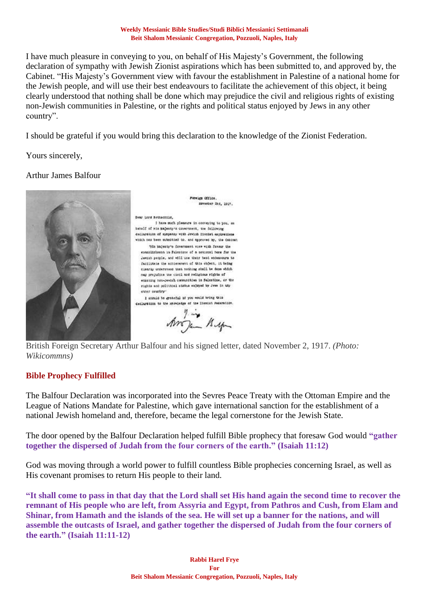#### **Weekly Messianic Bible Studies/Studi Biblici Messianici Settimanali Beit Shalom Messianic Congregation, Pozzuoli, Naples, Italy**

I have much pleasure in conveying to you, on behalf of His Majesty's Government, the following declaration of sympathy with Jewish Zionist aspirations which has been submitted to, and approved by, the Cabinet. "His Majesty's Government view with favour the establishment in Palestine of a national home for the Jewish people, and will use their best endeavours to facilitate the achievement of this object, it being clearly understood that nothing shall be done which may prejudice the civil and religious rights of existing non-Jewish communities in Palestine, or the rights and political status enjoyed by Jews in any other country".

I should be grateful if you would bring this declaration to the knowledge of the Zionist Federation.

Foreign Office. seventer 256, 1917.

Yours sincerely,

#### Arthur James Balfour



Bear Lord Bothschild, I have much pleasure in conveying to you, an behalf of his majesty's covernment, the following declaration of supposay with Jewish Incodet aspirations which nos been muteritied to, and approved by, the dehinet Tils bajebby's Covernment view with favour the establishment in Falcotine of a national home for the Jessih secole, and will use their best endeavours to facilitate the achievement of this object, it being clearly onderstood that nothing shall be done which may prejudice the civil and religious rights of exasting non-Jewish communities in falestine, or the rights and political status enjoyed by Jewe in thy close country

I should be grateful if you would bring this designation to the convictor of the licenset recention.

Angin Bug

British Foreign Secretary Arthur Balfour and his signed letter, dated November 2, 1917. *(Photo: Wikicommns)*

#### **Bible Prophecy Fulfilled**

The Balfour Declaration was incorporated into the Sevres Peace Treaty with the Ottoman Empire and the League of Nations Mandate for Palestine, which gave international sanction for the establishment of a national Jewish homeland and, therefore, became the legal cornerstone for the Jewish State.

The door opened by the Balfour Declaration helped fulfill Bible prophecy that foresaw God would **"gather together the dispersed of Judah from the four corners of the earth." (Isaiah 11:12)**

God was moving through a world power to fulfill countless Bible prophecies concerning Israel, as well as His covenant promises to return His people to their land.

**"It shall come to pass in that day that the Lord shall set His hand again the second time to recover the remnant of His people who are left, from Assyria and Egypt, from Pathros and Cush, from Elam and Shinar, from Hamath and the islands of the sea. He will set up a banner for the nations, and will assemble the outcasts of Israel, and gather together the dispersed of Judah from the four corners of the earth." (Isaiah 11:11-12)**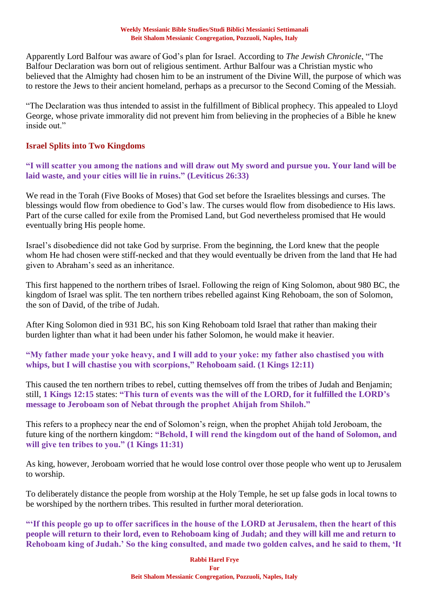#### **Weekly Messianic Bible Studies/Studi Biblici Messianici Settimanali Beit Shalom Messianic Congregation, Pozzuoli, Naples, Italy**

Apparently Lord Balfour was aware of God's plan for Israel. According to *The Jewish Chronicle*, "The Balfour Declaration was born out of religious sentiment. Arthur Balfour was a Christian mystic who believed that the Almighty had chosen him to be an instrument of the Divine Will, the purpose of which was to restore the Jews to their ancient homeland, perhaps as a precursor to the Second Coming of the Messiah.

"The Declaration was thus intended to assist in the fulfillment of Biblical prophecy. This appealed to Lloyd George, whose private immorality did not prevent him from believing in the prophecies of a Bible he knew inside out."

### **Israel Splits into Two Kingdoms**

**"I will scatter you among the nations and will draw out My sword and pursue you. Your land will be laid waste, and your cities will lie in ruins." (Leviticus 26:33)**

We read in the Torah (Five Books of Moses) that God set before the Israelites blessings and curses. The blessings would flow from obedience to God's law. The curses would flow from disobedience to His laws. Part of the curse called for exile from the Promised Land, but God nevertheless promised that He would eventually bring His people home.

Israel's disobedience did not take God by surprise. From the beginning, the Lord knew that the people whom He had chosen were stiff-necked and that they would eventually be driven from the land that He had given to Abraham's seed as an inheritance.

This first happened to the northern tribes of Israel. Following the reign of King Solomon, about 980 BC, the kingdom of Israel was split. The ten northern tribes rebelled against King Rehoboam, the son of Solomon, the son of David, of the tribe of Judah.

After King Solomon died in 931 BC, his son King Rehoboam told Israel that rather than making their burden lighter than what it had been under his father Solomon, he would make it heavier.

**"My father made your yoke heavy, and I will add to your yoke: my father also chastised you with whips, but I will chastise you with scorpions," Rehoboam said. (1 Kings 12:11)**

This caused the ten northern tribes to rebel, cutting themselves off from the tribes of Judah and Benjamin; still, **1 Kings 12:15** states: **"This turn of events was the will of the LORD, for it fulfilled the LORD's message to Jeroboam son of Nebat through the prophet Ahijah from Shiloh."**

This refers to a prophecy near the end of Solomon's reign, when the prophet Ahijah told Jeroboam, the future king of the northern kingdom: **"Behold, I will rend the kingdom out of the hand of Solomon, and will give ten tribes to you." (1 Kings 11:31)**

As king, however, Jeroboam worried that he would lose control over those people who went up to Jerusalem to worship.

To deliberately distance the people from worship at the Holy Temple, he set up false gods in local towns to be worshiped by the northern tribes. This resulted in further moral deterioration.

**"'If this people go up to offer sacrifices in the house of the LORD at Jerusalem, then the heart of this people will return to their lord, even to Rehoboam king of Judah; and they will kill me and return to Rehoboam king of Judah.' So the king consulted, and made two golden calves, and he said to them, 'It**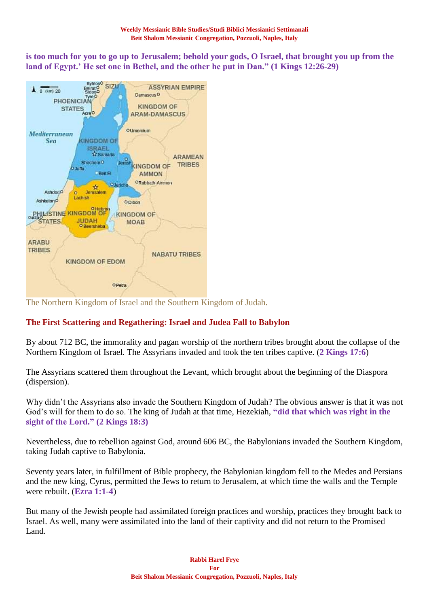**is too much for you to go up to Jerusalem; behold your gods, O Israel, that brought you up from the land of Egypt.' He set one in Bethel, and the other he put in Dan." (1 Kings 12:26-29)**



The Northern Kingdom of Israel and the Southern Kingdom of Judah.

## **The First Scattering and Regathering: Israel and Judea Fall to Babylon**

By about 712 BC, the immorality and pagan worship of the northern tribes brought about the collapse of the Northern Kingdom of Israel. The Assyrians invaded and took the ten tribes captive. (**2 Kings 17:6**)

The Assyrians scattered them throughout the Levant, which brought about the beginning of the Diaspora (dispersion).

Why didn't the Assyrians also invade the Southern Kingdom of Judah? The obvious answer is that it was not God's will for them to do so. The king of Judah at that time, Hezekiah, **"did that which was right in the sight of the Lord." (2 Kings 18:3)**

Nevertheless, due to rebellion against God, around 606 BC, the Babylonians invaded the Southern Kingdom, taking Judah captive to Babylonia.

Seventy years later, in fulfillment of Bible prophecy, the Babylonian kingdom fell to the Medes and Persians and the new king, Cyrus, permitted the Jews to return to Jerusalem, at which time the walls and the Temple were rebuilt. (**Ezra 1:1-4**)

But many of the Jewish people had assimilated foreign practices and worship, practices they brought back to Israel. As well, many were assimilated into the land of their captivity and did not return to the Promised Land.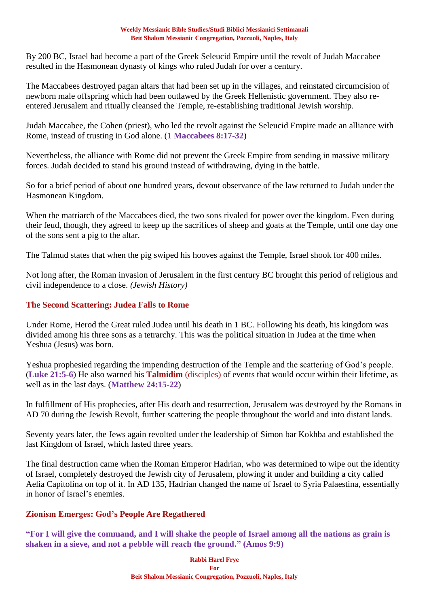#### **Weekly Messianic Bible Studies/Studi Biblici Messianici Settimanali Beit Shalom Messianic Congregation, Pozzuoli, Naples, Italy**

By 200 BC, Israel had become a part of the Greek Seleucid Empire until the revolt of Judah Maccabee resulted in the Hasmonean dynasty of kings who ruled Judah for over a century.

The Maccabees destroyed pagan altars that had been set up in the villages, and reinstated circumcision of newborn male offspring which had been outlawed by the Greek Hellenistic government. They also reentered Jerusalem and ritually cleansed the Temple, re-establishing traditional Jewish worship.

Judah Maccabee, the Cohen (priest), who led the revolt against the Seleucid Empire made an alliance with Rome, instead of trusting in God alone. (**1 Maccabees 8:17-32**)

Nevertheless, the alliance with Rome did not prevent the Greek Empire from sending in massive military forces. Judah decided to stand his ground instead of withdrawing, dying in the battle.

So for a brief period of about one hundred years, devout observance of the law returned to Judah under the Hasmonean Kingdom.

When the matriarch of the Maccabees died, the two sons rivaled for power over the kingdom. Even during their feud, though, they agreed to keep up the sacrifices of sheep and goats at the Temple, until one day one of the sons sent a pig to the altar.

The Talmud states that when the pig swiped his hooves against the Temple, Israel shook for 400 miles.

Not long after, the Roman invasion of Jerusalem in the first century BC brought this period of religious and civil independence to a close. *(Jewish History)*

### **The Second Scattering: Judea Falls to Rome**

Under Rome, Herod the Great ruled Judea until his death in 1 BC. Following his death, his kingdom was divided among his three sons as a tetrarchy. This was the political situation in Judea at the time when Yeshua (Jesus) was born.

Yeshua prophesied regarding the impending destruction of the Temple and the scattering of God's people. (**Luke 21:5-6**) He also warned his **Talmidim** (disciples) of events that would occur within their lifetime, as well as in the last days. (**Matthew 24:15-22**)

In fulfillment of His prophecies, after His death and resurrection, Jerusalem was destroyed by the Romans in AD 70 during the Jewish Revolt, further scattering the people throughout the world and into distant lands.

Seventy years later, the Jews again revolted under the leadership of Simon bar Kokhba and established the last Kingdom of Israel, which lasted three years.

The final destruction came when the Roman Emperor Hadrian, who was determined to wipe out the identity of Israel, completely destroyed the Jewish city of Jerusalem, plowing it under and building a city called Aelia Capitolina on top of it. In AD 135, Hadrian changed the name of Israel to Syria Palaestina, essentially in honor of Israel's enemies.

#### **Zionism Emerges: God's People Are Regathered**

**"For I will give the command, and I will shake the people of Israel among all the nations as grain is shaken in a sieve, and not a pebble will reach the ground." (Amos 9:9)**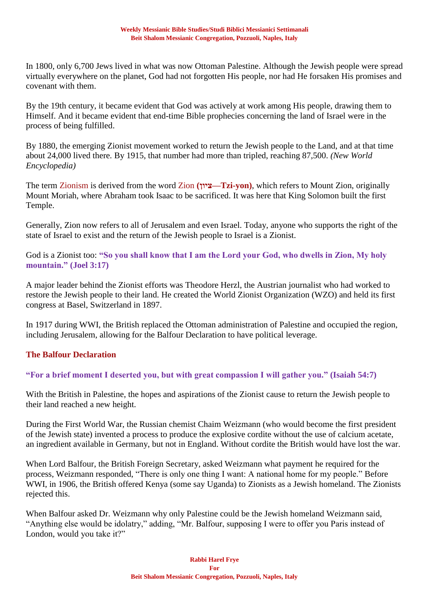In 1800, only 6,700 Jews lived in what was now Ottoman Palestine. Although the Jewish people were spread virtually everywhere on the planet, God had not forgotten His people, nor had He forsaken His promises and covenant with them.

By the 19th century, it became evident that God was actively at work among His people, drawing them to Himself. And it became evident that end-time Bible prophecies concerning the land of Israel were in the process of being fulfilled.

By 1880, the emerging Zionist movement worked to return the Jewish people to the Land, and at that time about 24,000 lived there. By 1915, that number had more than tripled, reaching 87,500. *(New World Encyclopedia)*

The term Zionism is derived from the word Zion **(ציון—Tzi-yon)**, which refers to Mount Zion, originally Mount Moriah, where Abraham took Isaac to be sacrificed. It was here that King Solomon built the first Temple.

Generally, Zion now refers to all of Jerusalem and even Israel. Today, anyone who supports the right of the state of Israel to exist and the return of the Jewish people to Israel is a Zionist.

God is a Zionist too: **"So you shall know that I am the Lord your God, who dwells in Zion, My holy mountain." (Joel 3:17)**

A major leader behind the Zionist efforts was Theodore Herzl, the Austrian journalist who had worked to restore the Jewish people to their land. He created the World Zionist Organization (WZO) and held its first congress at Basel, Switzerland in 1897.

In 1917 during WWI, the British replaced the Ottoman administration of Palestine and occupied the region, including Jerusalem, allowing for the Balfour Declaration to have political leverage.

#### **The Balfour Declaration**

#### **"For a brief moment I deserted you, but with great compassion I will gather you." (Isaiah 54:7)**

With the British in Palestine, the hopes and aspirations of the Zionist cause to return the Jewish people to their land reached a new height.

During the First World War, the Russian chemist Chaim Weizmann (who would become the first president of the Jewish state) invented a process to produce the explosive cordite without the use of calcium acetate, an ingredient available in Germany, but not in England. Without cordite the British would have lost the war.

When Lord Balfour, the British Foreign Secretary, asked Weizmann what payment he required for the process, Weizmann responded, "There is only one thing I want: A national home for my people." Before WWI, in 1906, the British offered Kenya (some say Uganda) to Zionists as a Jewish homeland. The Zionists rejected this.

When Balfour asked Dr. Weizmann why only Palestine could be the Jewish homeland Weizmann said, "Anything else would be idolatry," adding, "Mr. Balfour, supposing I were to offer you Paris instead of London, would you take it?"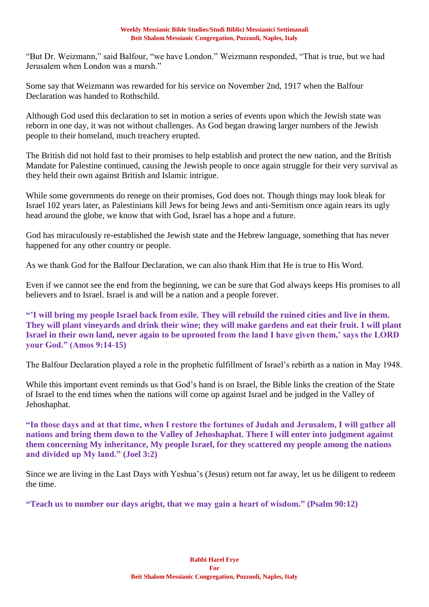"But Dr. Weizmann," said Balfour, "we have London." Weizmann responded, "That is true, but we had Jerusalem when London was a marsh."

Some say that Weizmann was rewarded for his service on November 2nd, 1917 when the Balfour Declaration was handed to Rothschild.

Although God used this declaration to set in motion a series of events upon which the Jewish state was reborn in one day, it was not without challenges. As God began drawing larger numbers of the Jewish people to their homeland, much treachery erupted.

The British did not hold fast to their promises to help establish and protect the new nation, and the British Mandate for Palestine continued, causing the Jewish people to once again struggle for their very survival as they held their own against British and Islamic intrigue.

While some governments do renege on their promises, God does not. Though things may look bleak for Israel 102 years later, as Palestinians kill Jews for being Jews and anti-Semitism once again rears its ugly head around the globe, we know that with God, Israel has a hope and a future.

God has miraculously re-established the Jewish state and the Hebrew language, something that has never happened for any other country or people.

As we thank God for the Balfour Declaration, we can also thank Him that He is true to His Word.

Even if we cannot see the end from the beginning, we can be sure that God always keeps His promises to all believers and to Israel. Israel is and will be a nation and a people forever.

**"'I will bring my people Israel back from exile. They will rebuild the ruined cities and live in them. They will plant vineyards and drink their wine; they will make gardens and eat their fruit. I will plant Israel in their own land, never again to be uprooted from the land I have given them,' says the LORD your God." (Amos 9:14-15)**

The Balfour Declaration played a role in the prophetic fulfillment of Israel's rebirth as a nation in May 1948.

While this important event reminds us that God's hand is on Israel, the Bible links the creation of the State of Israel to the end times when the nations will come up against Israel and be judged in the Valley of Jehoshaphat.

**"In those days and at that time, when I restore the fortunes of Judah and Jerusalem, I will gather all nations and bring them down to the Valley of Jehoshaphat. There I will enter into judgment against them concerning My inheritance, My people Israel, for they scattered my people among the nations and divided up My land." (Joel 3:2)**

Since we are living in the Last Days with Yeshua's (Jesus) return not far away, let us be diligent to redeem the time.

**"Teach us to number our days aright, that we may gain a heart of wisdom." (Psalm 90:12)**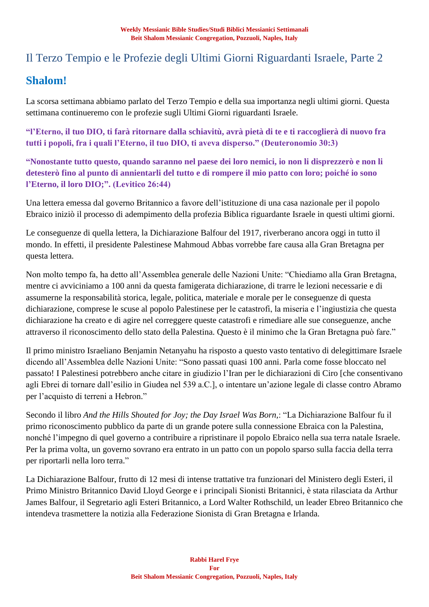# Il Terzo Tempio e le Profezie degli Ultimi Giorni Riguardanti Israele, Parte 2

# **Shalom!**

La scorsa settimana abbiamo parlato del Terzo Tempio e della sua importanza negli ultimi giorni. Questa settimana continueremo con le profezie sugli Ultimi Giorni riguardanti Israele.

**"l'Eterno, il tuo DIO, ti farà ritornare dalla schiavitù, avrà pietà di te e ti raccoglierà di nuovo fra tutti i popoli, fra i quali l'Eterno, il tuo DIO, ti aveva disperso." (Deuteronomio 30:3)**

**"Nonostante tutto questo, quando saranno nel paese dei loro nemici, io non li disprezzerò e non li detesterò fino al punto di annientarli del tutto e di rompere il mio patto con loro; poiché io sono l'Eterno, il loro DIO;". (Levitico 26:44)**

Una lettera emessa dal governo Britannico a favore dell'istituzione di una casa nazionale per il popolo Ebraico iniziò il processo di adempimento della profezia Biblica riguardante Israele in questi ultimi giorni.

Le conseguenze di quella lettera, la Dichiarazione Balfour del 1917, riverberano ancora oggi in tutto il mondo. In effetti, il presidente Palestinese Mahmoud Abbas vorrebbe fare causa alla Gran Bretagna per questa lettera.

Non molto tempo fa, ha detto all'Assemblea generale delle Nazioni Unite: "Chiediamo alla Gran Bretagna, mentre ci avviciniamo a 100 anni da questa famigerata dichiarazione, di trarre le lezioni necessarie e di assumerne la responsabilità storica, legale, politica, materiale e morale per le conseguenze di questa dichiarazione, comprese le scuse al popolo Palestinese per le catastrofi, la miseria e l'ingiustizia che questa dichiarazione ha creato e di agire nel correggere queste catastrofi e rimediare alle sue conseguenze, anche attraverso il riconoscimento dello stato della Palestina. Questo è il minimo che la Gran Bretagna può fare."

Il primo ministro Israeliano Benjamin Netanyahu ha risposto a questo vasto tentativo di delegittimare Israele dicendo all'Assemblea delle Nazioni Unite: "Sono passati quasi 100 anni. Parla come fosse bloccato nel passato! I Palestinesi potrebbero anche citare in giudizio l'Iran per le dichiarazioni di Ciro [che consentivano agli Ebrei di tornare dall'esilio in Giudea nel 539 a.C.], o intentare un'azione legale di classe contro Abramo per l'acquisto di terreni a Hebron."

Secondo il libro *And the Hills Shouted for Joy; the Day Israel Was Born,*: "La Dichiarazione Balfour fu il primo riconoscimento pubblico da parte di un grande potere sulla connessione Ebraica con la Palestina, nonché l'impegno di quel governo a contribuire a ripristinare il popolo Ebraico nella sua terra natale Israele. Per la prima volta, un governo sovrano era entrato in un patto con un popolo sparso sulla faccia della terra per riportarli nella loro terra."

La Dichiarazione Balfour, frutto di 12 mesi di intense trattative tra funzionari del Ministero degli Esteri, il Primo Ministro Britannico David Lloyd George e i principali Sionisti Britannici, è stata rilasciata da Arthur James Balfour, il Segretario agli Esteri Britannico, a Lord Walter Rothschild, un leader Ebreo Britannico che intendeva trasmettere la notizia alla Federazione Sionista di Gran Bretagna e Irlanda.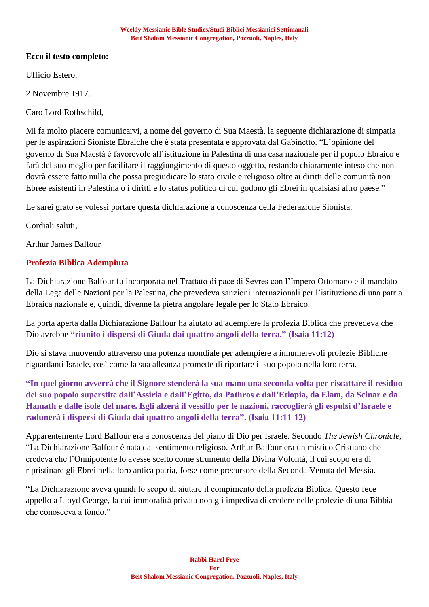### **Ecco il testo completo:**

Ufficio Estero,

2 Novembre 1917.

Caro Lord Rothschild,

Mi fa molto piacere comunicarvi, a nome del governo di Sua Maestà, la seguente dichiarazione di simpatia per le aspirazioni Sioniste Ebraiche che è stata presentata e approvata dal Gabinetto. "L'opinione del governo di Sua Maestà è favorevole all'istituzione in Palestina di una casa nazionale per il popolo Ebraico e farà del suo meglio per facilitare il raggiungimento di questo oggetto, restando chiaramente inteso che non dovrà essere fatto nulla che possa pregiudicare lo stato civile e religioso oltre ai diritti delle comunità non Ebree esistenti in Palestina o i diritti e lo status politico di cui godono gli Ebrei in qualsiasi altro paese."

Le sarei grato se volessi portare questa dichiarazione a conoscenza della Federazione Sionista.

Cordiali saluti,

Arthur James Balfour

## **Profezia Biblica Adempiuta**

La Dichiarazione Balfour fu incorporata nel Trattato di pace di Sevres con l'Impero Ottomano e il mandato della Lega delle Nazioni per la Palestina, che prevedeva sanzioni internazionali per l'istituzione di una patria Ebraica nazionale e, quindi, divenne la pietra angolare legale per lo Stato Ebraico.

La porta aperta dalla Dichiarazione Balfour ha aiutato ad adempiere la profezia Biblica che prevedeva che Dio avrebbe **"riunito i dispersi di Giuda dai quattro angoli della terra." (Isaia 11:12)**

Dio si stava muovendo attraverso una potenza mondiale per adempiere a innumerevoli profezie Bibliche riguardanti Israele, così come la sua alleanza promette di riportare il suo popolo nella loro terra.

**"In quel giorno avverrà che il Signore stenderà la sua mano una seconda volta per riscattare il residuo del suo popolo superstite dall'Assiria e dall'Egitto, da Pathros e dall'Etiopia, da Elam, da Scinar e da Hamath e dalle isole del mare. Egli alzerà il vessillo per le nazioni, raccoglierà gli espulsi d'Israele e radunerà i dispersi di Giuda dai quattro angoli della terra". (Isaia 11:11-12)**

Apparentemente Lord Balfour era a conoscenza del piano di Dio per Israele. Secondo *The Jewish Chronicle*, "La Dichiarazione Balfour è nata dal sentimento religioso. Arthur Balfour era un mistico Cristiano che credeva che l'Onnipotente lo avesse scelto come strumento della Divina Volontà, il cui scopo era di ripristinare gli Ebrei nella loro antica patria, forse come precursore della Seconda Venuta del Messia.

"La Dichiarazione aveva quindi lo scopo di aiutare il compimento della profezia Biblica. Questo fece appello a Lloyd George, la cui immoralità privata non gli impediva di credere nelle profezie di una Bibbia che conosceva a fondo."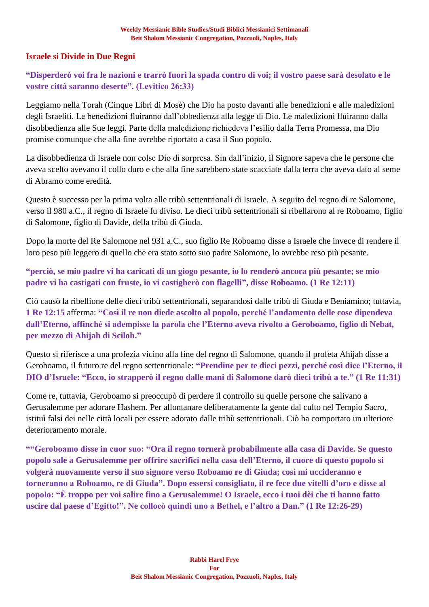#### **Israele si Divide in Due Regni**

## **"Disperderò voi fra le nazioni e trarrò fuori la spada contro di voi; il vostro paese sarà desolato e le vostre città saranno deserte". (Levitico 26:33)**

Leggiamo nella Torah (Cinque Libri di Mosè) che Dio ha posto davanti alle benedizioni e alle maledizioni degli Israeliti. Le benedizioni fluiranno dall'obbedienza alla legge di Dio. Le maledizioni fluiranno dalla disobbedienza alle Sue leggi. Parte della maledizione richiedeva l'esilio dalla Terra Promessa, ma Dio promise comunque che alla fine avrebbe riportato a casa il Suo popolo.

La disobbedienza di Israele non colse Dio di sorpresa. Sin dall'inizio, il Signore sapeva che le persone che aveva scelto avevano il collo duro e che alla fine sarebbero state scacciate dalla terra che aveva dato al seme di Abramo come eredità.

Questo è successo per la prima volta alle tribù settentrionali di Israele. A seguito del regno di re Salomone, verso il 980 a.C., il regno di Israele fu diviso. Le dieci tribù settentrionali si ribellarono al re Roboamo, figlio di Salomone, figlio di Davide, della tribù di Giuda.

Dopo la morte del Re Salomone nel 931 a.C., suo figlio Re Roboamo disse a Israele che invece di rendere il loro peso più leggero di quello che era stato sotto suo padre Salomone, lo avrebbe reso più pesante.

**"perciò, se mio padre vi ha caricati di un giogo pesante, io lo renderò ancora più pesante; se mio padre vi ha castigati con fruste, io vi castigherò con flagelli", disse Roboamo. (1 Re 12:11)**

Ciò causò la ribellione delle dieci tribù settentrionali, separandosi dalle tribù di Giuda e Beniamino; tuttavia, **1 Re 12:15** afferma: **"Così il re non diede ascolto al popolo, perché l'andamento delle cose dipendeva dall'Eterno, affinché si adempisse la parola che l'Eterno aveva rivolto a Geroboamo, figlio di Nebat, per mezzo di Ahijah di Sciloh."**

Questo si riferisce a una profezia vicino alla fine del regno di Salomone, quando il profeta Ahijah disse a Geroboamo, il futuro re del regno settentrionale: **"Prendine per te dieci pezzi, perché così dice l'Eterno, il DIO d'Israele: "Ecco, io strapperò il regno dalle mani di Salomone darò dieci tribù a te." (1 Re 11:31)**

Come re, tuttavia, Geroboamo si preoccupò di perdere il controllo su quelle persone che salivano a Gerusalemme per adorare Hashem. Per allontanare deliberatamente la gente dal culto nel Tempio Sacro, istituì falsi dei nelle città locali per essere adorato dalle tribù settentrionali. Ciò ha comportato un ulteriore deterioramento morale.

**""Geroboamo disse in cuor suo: "Ora il regno tornerà probabilmente alla casa di Davide. Se questo popolo sale a Gerusalemme per offrire sacrifici nella casa dell'Eterno, il cuore di questo popolo si volgerà nuovamente verso il suo signore verso Roboamo re di Giuda; così mi uccideranno e torneranno a Roboamo, re di Giuda". Dopo essersi consigliato, il re fece due vitelli d'oro e disse al popolo: "È troppo per voi salire fino a Gerusalemme! O Israele, ecco i tuoi dèi che ti hanno fatto uscire dal paese d'Egitto!". Ne collocò quindi uno a Bethel, e l'altro a Dan." (1 Re 12:26-29)**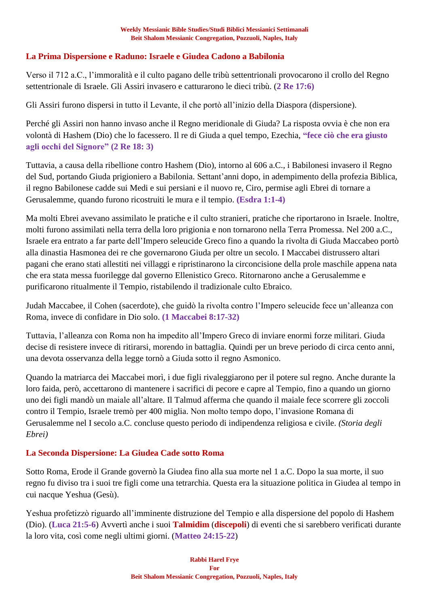### **La Prima Dispersione e Raduno: Israele e Giudea Cadono a Babilonia**

Verso il 712 a.C., l'immoralità e il culto pagano delle tribù settentrionali provocarono il crollo del Regno settentrionale di Israele. Gli Assiri invasero e catturarono le dieci tribù. (**2 Re 17:6)**

Gli Assiri furono dispersi in tutto il Levante, il che portò all'inizio della Diaspora (dispersione).

Perché gli Assiri non hanno invaso anche il Regno meridionale di Giuda? La risposta ovvia è che non era volontà di Hashem (Dio) che lo facessero. Il re di Giuda a quel tempo, Ezechia, **"fece ciò che era giusto agli occhi del Signore" (2 Re 18: 3)**

Tuttavia, a causa della ribellione contro Hashem (Dio), intorno al 606 a.C., i Babilonesi invasero il Regno del Sud, portando Giuda prigioniero a Babilonia. Settant'anni dopo, in adempimento della profezia Biblica, il regno Babilonese cadde sui Medi e sui persiani e il nuovo re, Ciro, permise agli Ebrei di tornare a Gerusalemme, quando furono ricostruiti le mura e il tempio. **(Esdra 1:1-4)**

Ma molti Ebrei avevano assimilato le pratiche e il culto stranieri, pratiche che riportarono in Israele. Inoltre, molti furono assimilati nella terra della loro prigionia e non tornarono nella Terra Promessa. Nel 200 a.C., Israele era entrato a far parte dell'Impero seleucide Greco fino a quando la rivolta di Giuda Maccabeo portò alla dinastia Hasmonea dei re che governarono Giuda per oltre un secolo. I Maccabei distrussero altari pagani che erano stati allestiti nei villaggi e ripristinarono la circoncisione della prole maschile appena nata che era stata messa fuorilegge dal governo Ellenistico Greco. Ritornarono anche a Gerusalemme e purificarono ritualmente il Tempio, ristabilendo il tradizionale culto Ebraico.

Judah Maccabee, il Cohen (sacerdote), che guidò la rivolta contro l'Impero seleucide fece un'alleanza con Roma, invece di confidare in Dio solo. **(1 Maccabei 8:17-32)**

Tuttavia, l'alleanza con Roma non ha impedito all'Impero Greco di inviare enormi forze militari. Giuda decise di resistere invece di ritirarsi, morendo in battaglia. Quindi per un breve periodo di circa cento anni, una devota osservanza della legge tornò a Giuda sotto il regno Asmonico.

Quando la matriarca dei Maccabei morì, i due figli rivaleggiarono per il potere sul regno. Anche durante la loro faida, però, accettarono di mantenere i sacrifici di pecore e capre al Tempio, fino a quando un giorno uno dei figli mandò un maiale all'altare. Il Talmud afferma che quando il maiale fece scorrere gli zoccoli contro il Tempio, Israele tremò per 400 miglia. Non molto tempo dopo, l'invasione Romana di Gerusalemme nel I secolo a.C. concluse questo periodo di indipendenza religiosa e civile. *(Storia degli Ebrei)*

#### **La Seconda Dispersione: La Giudea Cade sotto Roma**

Sotto Roma, Erode il Grande governò la Giudea fino alla sua morte nel 1 a.C. Dopo la sua morte, il suo regno fu diviso tra i suoi tre figli come una tetrarchia. Questa era la situazione politica in Giudea al tempo in cui nacque Yeshua (Gesù).

Yeshua profetizzò riguardo all'imminente distruzione del Tempio e alla dispersione del popolo di Hashem (Dio). (**Luca 21:5-6**) Avvertì anche i suoi **Talmidim** (**discepoli**) di eventi che si sarebbero verificati durante la loro vita, così come negli ultimi giorni. (**Matteo 24:15-22**)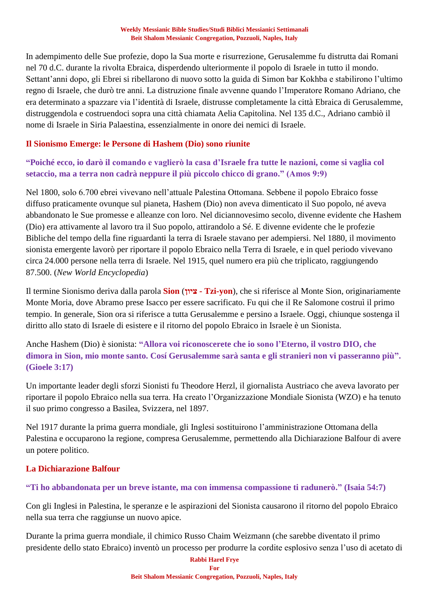In adempimento delle Sue profezie, dopo la Sua morte e risurrezione, Gerusalemme fu distrutta dai Romani nel 70 d.C. durante la rivolta Ebraica, disperdendo ulteriormente il popolo di Israele in tutto il mondo. Settant'anni dopo, gli Ebrei si ribellarono di nuovo sotto la guida di Simon bar Kokhba e stabilirono l'ultimo regno di Israele, che durò tre anni. La distruzione finale avvenne quando l'Imperatore Romano Adriano, che era determinato a spazzare via l'identità di Israele, distrusse completamente la città Ebraica di Gerusalemme, distruggendola e costruendoci sopra una città chiamata Aelia Capitolina. Nel 135 d.C., Adriano cambiò il nome di Israele in Siria Palaestina, essenzialmente in onore dei nemici di Israele.

#### **Il Sionismo Emerge: le Persone di Hashem (Dio) sono riunite**

**"Poiché ecco, io darò il comando e vaglierò la casa d'Israele fra tutte le nazioni, come si vaglia col setaccio, ma a terra non cadrà neppure il più piccolo chicco di grano." (Amos 9:9)**

Nel 1800, solo 6.700 ebrei vivevano nell'attuale Palestina Ottomana. Sebbene il popolo Ebraico fosse diffuso praticamente ovunque sul pianeta, Hashem (Dio) non aveva dimenticato il Suo popolo, né aveva abbandonato le Sue promesse e alleanze con loro. Nel diciannovesimo secolo, divenne evidente che Hashem (Dio) era attivamente al lavoro tra il Suo popolo, attirandolo a Sé. E divenne evidente che le profezie Bibliche del tempo della fine riguardanti la terra di Israele stavano per adempiersi. Nel 1880, il movimento sionista emergente lavorò per riportare il popolo Ebraico nella Terra di Israele, e in quel periodo vivevano circa 24.000 persone nella terra di Israele. Nel 1915, quel numero era più che triplicato, raggiungendo 87.500. (*New World Encyclopedia*)

Il termine Sionismo deriva dalla parola **Sion** (**ציון - Tzi-yon**), che si riferisce al Monte Sion, originariamente Monte Moria, dove Abramo prese Isacco per essere sacrificato. Fu qui che il Re Salomone costruì il primo tempio. In generale, Sion ora si riferisce a tutta Gerusalemme e persino a Israele. Oggi, chiunque sostenga il diritto allo stato di Israele di esistere e il ritorno del popolo Ebraico in Israele è un Sionista.

Anche Hashem (Dio) è sionista: **"Allora voi riconoscerete che io sono l'Eterno, il vostro DIO, che dimora in Sion, mio monte santo. Cosí Gerusalemme sarà santa e gli stranieri non vi passeranno più". (Gioele 3:17)**

Un importante leader degli sforzi Sionisti fu Theodore Herzl, il giornalista Austriaco che aveva lavorato per riportare il popolo Ebraico nella sua terra. Ha creato l'Organizzazione Mondiale Sionista (WZO) e ha tenuto il suo primo congresso a Basilea, Svizzera, nel 1897.

Nel 1917 durante la prima guerra mondiale, gli Inglesi sostituirono l'amministrazione Ottomana della Palestina e occuparono la regione, compresa Gerusalemme, permettendo alla Dichiarazione Balfour di avere un potere politico.

#### **La Dichiarazione Balfour**

#### **"Ti ho abbandonata per un breve istante, ma con immensa compassione ti radunerò." (Isaia 54:7)**

Con gli Inglesi in Palestina, le speranze e le aspirazioni del Sionista causarono il ritorno del popolo Ebraico nella sua terra che raggiunse un nuovo apice.

Durante la prima guerra mondiale, il chimico Russo Chaim Weizmann (che sarebbe diventato il primo presidente dello stato Ebraico) inventò un processo per produrre la cordite esplosivo senza l'uso di acetato di